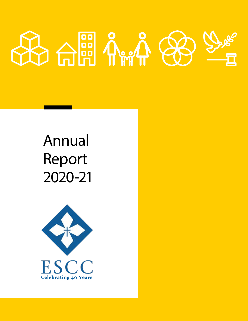

## Annual Report 2020-21

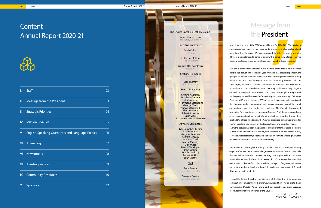*Paula Celani*



## **Content** Annual Report 2020-21



| I.                        | <b>Staff</b>                                            | 03 |
|---------------------------|---------------------------------------------------------|----|
| $\mathbf{II}$ .           | Message from the President                              | 03 |
| $\mathbf{m}_{\mathbf{c}}$ | <b>Strategic Priorities</b>                             | 04 |
|                           | IV. Mission & Values                                    | 05 |
| $V_{\rm c}$               | <b>English-Speaking Quebecers and Language Politics</b> | 06 |
|                           | VI. Animating                                           | 07 |
|                           | <b>VII.</b> Newcomers                                   | 08 |
|                           | <b>VIII. Assisting Seniors</b>                          | 09 |
|                           | IX. Community Resources                                 | 10 |
| Х.                        | Sponsors                                                | 12 |

Report for <mark>2020-2021</mark>. This has been<br>Report for <mark>2020-2021</mark>. This has been<br>o bring new challenges for all and<br>gled, in different ways and under<br>with a completely altered reality in<br>d in our church communities,<br>ade to cont I am proud of the efforts that the Council made to continue to fulfil its mandate despite the disruptions of the past year. Knowing that project expenses were going to be lower because of the necessity of cancelling certain events during the lockdown, the Council sought to assist the community where it could. As an example, the Council provided the money for Montreal Directed Retreats to purchase a Zoom Pro subscription so that they could start a daily program entitled, "Praying with Scripture on Zoom." Over 200 people are registered for the program and between 20-30 people participate everyday. Catherine Cherry of MDR reports that over 95% of the participants are older adults and that the program has been one of their primary means of maintaining social and spiritual connections during the pandemic. The Council also provided support to food assistance programs run from our English-speaking parishes as well as connecting them to extra funding which was provided through their local MNA's offices. In addition, the Council organized online workshops for English-speaking newcomers on the topics of taxes and Canadian finance.

Sadly, the last year has seen the passing of a number of former Board members: Fr. John Walsh and Richard McConomy, both founding members of the Council, as well as Margaret Healy, Robert Dobie and Bob Cochrane. We are grateful for their lives of dedicated service to the community.

Founded in 1981, the English Speaking Catholic Council is currently celebrating 40 years of service to the minority language community of Quebec. Naturally this year will be one which involves looking back in gratitude for the many accomplishments of the Council and recognition of the men and women who contributed to those efforts. But it will also be a year of vigilance, education and action as the political and linguistic landscape once again shifts and shudders beneath our feet.

I would like to thank each of the Directors of the Board for their generous contribution of time to the work of the Council. In addition, I would like to thank our Executive Director, Anna Farrow, and our Executive Assistant, Suzanne Brown, for their efforts on behalf of the Council.

## Message from the President

I am pleased to present the ESCC's Annual Report for 2020-2021. This has been an extraordinary year. Every day seemed to bring new challenges for all and great hardships for many. We have struggled, in different ways and under different circumstances, to come to grips with a completely altered reality in both our professional and personal lives and in our church communities

002 <<<< Annual Report 2020-21 Annual Report 2020-21 >>>> 003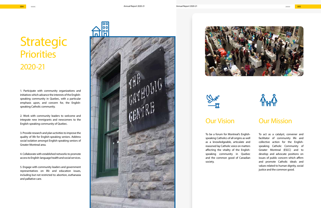### Our Vision

To be a forum for Montreal's Englishspeaking Catholics of all origins as well as a knowledgeable, articulate and reasoned lay Catholic voice on matters affecting the vitality of the Englishspeaking community in Quebec and the common good of Canadian society.





## Our Mission

To act as a catalyst, convener and facilitator of community life and collective action for the Englishspeaking Catholic Community of Greater Montreal (ESCC) and to develop and advocate positions on issues of public concern which affirm and promote Catholic ideals and values related to human dignity, social justice and the common good.

1. Participate with community organizations and initiatives which advance the interests of the Englishspeaking community in Quebec, with a particular emphasis upon, and concern for, the Englishspeaking Catholic community.

2. Work with community leaders to welcome and integrate new immigrants and newcomers to the English-speaking community of Quebec.

3. Provide research and plan activities to improve the quality of life for English-speaking seniors. Address social isolation amongst English-speaking seniors of Greater Montreal area.

4. Collaborate with established networks to promote access to English-language health and social services.

5. Engage with community leaders and government representatives on life and education issues, including but not restricted to: abortion, euthanasia and palliative care.







# Strategic **Priorities** 2020-21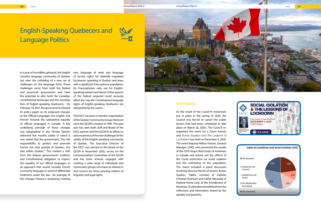#### Animating

As the result of the Covid-19 restrictions put in place in the spring of 2020, the Council was forced to cancel the public lecture that had been scheduled to take place on March 26, 2020. The Council reorganized the event for a Zoom format, and *Social Isolation and the Lessons of Lockdown* was held on December 3, 2020. The event featured Milton Friesen, General Manager CitiIQ, who presented the results of the 2019 Angus Reid study of loneliness in Canada and teased out the effects of the Covid restrictions on social isolation and the well-being of the population. The event included a panel discussion involving Vanessa Herrick of Seniors Action Quebec, Talitha Lemoine of Catholic Christian Outreach and Cathie Macaulay of Pastoral Home Care, of the Archdiocese of Montreal. 55 attendees benefitted from the reflections and information shared by the speaker and panelists.





In a year of incredible upheaval, the English minority language community of Quebec has seen the unfolding of a new set of challenges on the language front. These challenges come from both the federal and provincial government and have the potential to alter both the Canadian constitutional landscape and the everyday lives of English-speaking Quebecers. On February 19, 2021, the government released its policy paper on its proposed changes to the Official Languages Act, English and French: Towards the substantive equality of official languages in Canada. A key underlying principle of those changes was telegraphed in the Throne Speech delivered five months earlier in which it was stated that the government, "has the responsibility to protect and promote French not only outside of Quebec, but also within Quebec." This marked a shift from the federal government's tradition and Constitutional obligation to respect the equality of our official languages to an approach that would consider French a minority language in need of differential treatment under the law. An example of this change; Ottawa is proposing creating

new language of work and language of service rights for federally regulated businesses operating in Quebec and areas with a significant Francophone population, for Francophones only, not for Englishspeaking workers and clients. Other aspects of the federal proposal could seriously affect the way the Constitutional language rights of English-speaking Quebecers are interpreted by the courts.

The ESCC has been a member organization of the Quebec Community Groups Network since the QCGN's creation in 1995. This past year has seen both staff and Board of the ESCC partner with the QCGN in its efforts to raise awareness of the new challenges to the vitality of the English-speaking community of Quebec. The Executive Director of the ESCC was elected to the Board of the QCGN in November 2020, serves on the Communications Committee of the QCGN and has been actively engaged with meeting a wide range of individuals and community groups who have an interest in and concern for these pressing matters of linguistic and legal rights.

## English-Speaking Quebecers and Language Politics



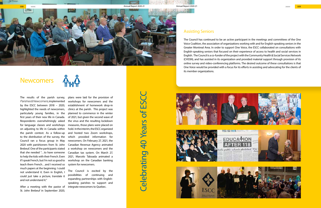The results of the parish survey, *Parishes & Newcomers*, implemented by the ESCC between 2018 – 2020, highlighted the needs of newcomers, particularly young families, in the first years of their new life in Canada. Respondents overwhelmingly asked for language classes and workshops on adjusting to life in Canada within the parish context. As a follow-up to the distribution of the survey, the Council ran a focus group in May 2020 with parishioners from St. John Brebeuf. One of the participants stated that she needed "…to have someone to help the kids with their French. Even if I speak French, but I'm not so good to teach them French…and I received so much papers at the beginning. I could not understand it. Even in English, I could just take a picture, translate it and not understand it."

After a meeting with the pastor of St. John Brebeuf in September 2020,

plans were laid for the provision of workshops for newcomers and the establishment of homework drop-in clinics at the parish. This project was planned to commence in the winter of 2021, but given the second wave of the virus and the resulting lockdown measures, those plans were placed on hold. In the interim, the ESCC organized and hosted two Zoom workshops, which provided information for newcomers. On February 27, 2021, the Canadian Revenue Agency animated a workshop on newcomers and the Canadian tax system. On March 27, 2021, Marcelo Taboada animated a workshop on the Canadian banking system for newcomers.

# Celebrating 40 Years of ESCC **Celebrating 40 Years of I**

The Council is excited by the possibilities of continuing and expanding partnerships with Englishspeaking parishes to support and integrate newcomers to Quebec.

#### Assisting Seniors

The Council has continued to be an active participant in the meetings and committees of the One Voice Coalition, the association of organizations working with and for English-speaking seniors in the Greater Montreal Area. In order to support One Voice, the ESCC collaborated on consultations with English-speaking seniors that focused on their experience of access to health and social services in English. The Council is a co-funder of the project with the Community Health & Social Services Network (CHSSN), and has assisted in its organization and provided material support through provision of its online survey and video-conferencing platforms. The desired outcome of these consultations is that One Voice would be provided with a focus for its efforts in assisting and advocating for the clients of its member organizations.













## **Newcomers**

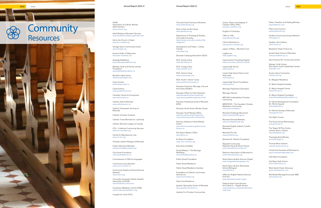ACRA Association of Catholic Retired Administrators *www.acracan.org*

Adult Religious Education Services *www.diocesemontreal.org/en/services*

Aid to the Church in Need *www.acn-canada.org*

Almage Senior Community Centre *www.almage.org*

Ancient Order of Hibernians *www.aoh-montreal.com*

Auberge Madeleine *www.aubergemadeleine.org*

Batshaw Youth and Family Centres Foundation *www.batshawfoundation.ca*

Benedict Labre House *www.benedictlabre.org*

Camp Caritas *www.campcaritas.ca*

Camp Kinkora *www.campkinkora.com*

Canadian Centre for Ecumenism *www.oikoumene.ca*

Catholic Action Montreal *www.catholicaction.ca*

Catholic Charismatic Services of Montreal

Catholic Christian Outreach

Catholic Times Montreal Inc. (archives)

Catholic Women's League of Canada

CCS – Collective Community Services *www.ccs-montreal.org*

Centre for Reproductive Loss *www.crl-rho.org*

Christian-Jewish Dialogue of Montreal

Citizen Advocacy Montreal *www.parrainagemontreal.org*

City House Foundation *www.sacredheart.qc.ca*

Commissioner of Official Languages

Communion and Liberation *www.ca.en.clonline.ca*

Community Health and Social Services Network *www.chssn.org*

Concordia University Catholic Student Association (CUCSA) *www.facebook.com/cucsa*

Consensus Mediation Centre (CMC) *www.consensusmediation.org*

Couples for Christ (CFC)

Crib and Cross Franciscan Ministries

*www.cribandcross.org*

Dans La Rue (Le Bon Dieu) *www.danslarue.org*

Department of Theological Studies, Concordia University *https://www.concordia.ca/artsci/the ology.html*

Development and Peace – Caritas Canada

*www.devp.org*

Diocesan Camping Association (DCA)

DCA: Family Camp *www.dfc-kinkora.ca*

DCA: Liturgy Camp

*www.campdlc.com*

DCA: Visions Camp

*www.visionscamp.com*

DCA: Youth in Action Camp *www.youthinactioncamp.ca*

Diocesan Centre for Marriage, Life and the Family (DCMLF)

Diocesan Office for Faith Education *www.diocesemontreal.org/en/services-resources/faith-education.html*

Diocesan Priesthood Guild of Montreal (DPG)

Diocesan Social Action Ministry Group

Diocesan Youth Ministry Office *www.diocesemontreal.org/en/services-resources/youth-ministry.html*

Dominus Vobiscum Family Retreat Centre *www.newmancentre.org/dominusvo -*

*biscum.ca*

Don Bosco Mission Office

*www.dbmo.ca*

En Route Foundation *www.ca.en.clonline.org*

Executives Available

Family Matters / The Marriage

Workshop *www.letstalkaboutlove.ca*

Father Dowd Foundation

Father Dowd Residence

Father Dowd Residence Auxiliary

Foundation of Catholic Community Services Inc.

*www.fccsmontreal.org*

Holy Cross Residence

Ignatian Spirituality Centre of Montreal *www.ignatiancentremtl.ca*

Institute For Christian Communities

Justice, Peace and Integrity of Creation Office (JPIC) *www.jpic-visitation.org*

Knights of Columbus L'Abri en Ville

*www.labrienville.org*

L'Arche Montreal Inc. *www.larche-montreal.org*

Legion of Mary – Montreal Curia

Logifem Inc.

#### *www.logifem.org*

Loyola Alumni Founding Chapter *www.concordia.ca/alumni-friends*

Loyola High School

*www.loyola.ca*

Loyola High School Alumni and

Associates *www.loyola.ca*

Loyola High School Foundation

*www.loyola.ca*

Marriage Preparation (Diocesan)

Marriage Tribunal

MECUM Contemplative Christian

Community

MEDITATIO - The Canadian Christian Meditation Community *www.wccm-canada.ca*

Montreal Challenge Movement *www.montrealchallenge.ca*

Montreal Directed Retreats *www.montrealretreats.org*

Montreal English Catholic Cursillo

Movement

Montreal Pro-Life *www.prolifemtl.org*

Montreal St. Patrick's Foundation

Nazareth Community Nazareth House & Anne's House *www.nazarethcommunity.com*

Newman Association of Montreal Inc. *www.newmancentre.org*

Notre-Dame-de-Bon-Secours Chapel *www.marguerite-bourgeoys.com*

Notre Dame de Sion Elementary School (Bilingual)

*www.ebnds.ca*

Office for English Pastoral Services

(O.E.P.S.)

*www.diocesemontreal.org/en*

Pastoral Home Care Services (S.A.S.M.A.D. – English Sector) *www.facebook.com/pastoralhomeca -*

*reservices*

Peace, Freedom and Healing Ministry *www.fatherlou.com*

Pillars Trust Fund Inc. *www.pillarstrust.org*

Quebec Community Groups Network *www.qcgn.ca*

Quebec Life Coalition *www.cqv.qc.ca*

Residence Projet Chance Inc.

Sacred Heart School of Montreal *www.sacredheart.qc.ca*

Saint Antoine 50+ Community Centre

Salesian Youth Centre (Don Bosco Youth Leadership Centre) *www.dylc.com*

Social Justice Connection *www.sjc-cjs.org*

St. Margaret Residence

St. Mary's Hospital Auxiliary

St. Mary's Hospital Centre *www.smhc.qc.ca*

St. Mary's Hospital Foundation *www.stmaryshospitalfoundation.ca*

St. Patrick Development Foundation (St. Patrick Square) *www.spsquare.ca*

St. Patrick's Society of Montreal *www.spsmtl.com*

The Alpha Course

The Priory School (Elementary) *www.priory.qc.ca*

The Teapot 50 Plus Centre Lachine Senior Citizens *www.theteapot.org*

Theologia Book Ministry *www.theologia.ca*

Thomas More Institute *www.thomasmore.qc.ca*

United Irish Societies of Montreal Inc. *www.montrealirishparade.com*

Villa Maria Foundation

Vila Maria High School *www.villamaria.qc.ca*

West Island Citizen Advocacy *www.volunteerwica.com*

Worldwide Marriage Encounter (ME) *www.wwme.org*





#### 0010 <<<< Annual Report 2020-21 Annual Report 2020-21 >>>> 0011